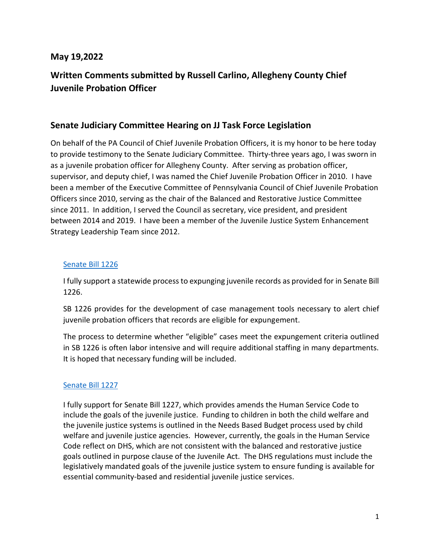### **May 19,2022**

# **Written Comments submitted by Russell Carlino, Allegheny County Chief Juvenile Probation Officer**

### **Senate Judiciary Committee Hearing on JJ Task Force Legislation**

On behalf of the PA Council of Chief Juvenile Probation Officers, it is my honor to be here today to provide testimony to the Senate Judiciary Committee. Thirty-three years ago, I was sworn in as a juvenile probation officer for Allegheny County. After serving as probation officer, supervisor, and deputy chief, I was named the Chief Juvenile Probation Officer in 2010. I have been a member of the Executive Committee of Pennsylvania Council of Chief Juvenile Probation Officers since 2010, serving as the chair of the Balanced and Restorative Justice Committee since 2011. In addition, I served the Council as secretary, vice president, and president between 2014 and 2019. I have been a member of the Juvenile Justice System Enhancement Strategy Leadership Team since 2012.

#### [Senate Bill 1226](https://gcc02.safelinks.protection.outlook.com/?url=https%3A%2F%2Fwww.legis.state.pa.us%2FCFDOCS%2FLegis%2FPN%2FPublic%2FbtCheck.cfm%3FtxtType%3DPDF%26sessYr%3D2021%26sessInd%3D0%26billBody%3DS%26billTyp%3DB%26billNbr%3D1226%26pn%3D1639&data=05%7C01%7Crcarlino%40alleghenycourts.us%7C1b6b7150dfba4a2d1fa408da343589b0%7C3cabe054d40a4e65a310650b0035177f%7C0%7C0%7C637879701821490419%7CUnknown%7CTWFpbGZsb3d8eyJWIjoiMC4wLjAwMDAiLCJQIjoiV2luMzIiLCJBTiI6Ik1haWwiLCJXVCI6Mn0%3D%7C3000%7C%7C%7C&sdata=5cJ5txbWz1EB8gAF792FEAv92IP4W4ENmgPMTfNn0Ro%3D&reserved=0)

I fully support a statewide process to expunging juvenile records as provided for in Senate Bill 1226.

SB 1226 provides for the development of case management tools necessary to alert chief juvenile probation officers that records are eligible for expungement.

The process to determine whether "eligible" cases meet the expungement criteria outlined in SB 1226 is often labor intensive and will require additional staffing in many departments. It is hoped that necessary funding will be included.

#### [Senate Bill 1227](https://gcc02.safelinks.protection.outlook.com/?url=https%3A%2F%2Fwww.legis.state.pa.us%2FCFDOCS%2FLegis%2FPN%2FPublic%2FbtCheck.cfm%3FtxtType%3DPDF%26sessYr%3D2021%26sessInd%3D0%26billBody%3DS%26billTyp%3DB%26billNbr%3D1227%26pn%3D1644&data=05%7C01%7Crcarlino%40alleghenycourts.us%7C1b6b7150dfba4a2d1fa408da343589b0%7C3cabe054d40a4e65a310650b0035177f%7C0%7C0%7C637879701821490419%7CUnknown%7CTWFpbGZsb3d8eyJWIjoiMC4wLjAwMDAiLCJQIjoiV2luMzIiLCJBTiI6Ik1haWwiLCJXVCI6Mn0%3D%7C3000%7C%7C%7C&sdata=G8POAEkWGYObsSJd8eCicA47u%2FrZHo5kkoWxbDP%2FHyk%3D&reserved=0)

I fully support for Senate Bill 1227, which provides amends the Human Service Code to include the goals of the juvenile justice. Funding to children in both the child welfare and the juvenile justice systems is outlined in the Needs Based Budget process used by child welfare and juvenile justice agencies. However, currently, the goals in the Human Service Code reflect on DHS, which are not consistent with the balanced and restorative justice goals outlined in purpose clause of the Juvenile Act. The DHS regulations must include the legislatively mandated goals of the juvenile justice system to ensure funding is available for essential community-based and residential juvenile justice services.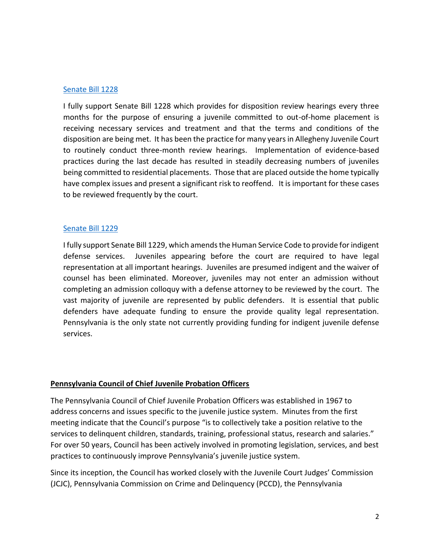#### [Senate Bill 1228](https://gcc02.safelinks.protection.outlook.com/?url=https%3A%2F%2Fwww.legis.state.pa.us%2FCFDOCS%2FLegis%2FPN%2FPublic%2FbtCheck.cfm%3FtxtType%3DPDF%26sessYr%3D2021%26sessInd%3D0%26billBody%3DS%26billTyp%3DB%26billNbr%3D1228%26pn%3D1640&data=05%7C01%7Crcarlino%40alleghenycourts.us%7C1b6b7150dfba4a2d1fa408da343589b0%7C3cabe054d40a4e65a310650b0035177f%7C0%7C0%7C637879701821490419%7CUnknown%7CTWFpbGZsb3d8eyJWIjoiMC4wLjAwMDAiLCJQIjoiV2luMzIiLCJBTiI6Ik1haWwiLCJXVCI6Mn0%3D%7C3000%7C%7C%7C&sdata=iSSb4ju%2FUZiH8hpY4%2BJWz6pcfdWxLyl%2BiNd8SP8yTMg%3D&reserved=0)

I fully support Senate Bill 1228 which provides for disposition review hearings every three months for the purpose of ensuring a juvenile committed to out-of-home placement is receiving necessary services and treatment and that the terms and conditions of the disposition are being met. It has been the practice for many years in Allegheny Juvenile Court to routinely conduct three-month review hearings. Implementation of evidence-based practices during the last decade has resulted in steadily decreasing numbers of juveniles being committed to residential placements. Those that are placed outside the home typically have complex issues and present a significant risk to reoffend. It is important for these cases to be reviewed frequently by the court.

#### [Senate Bill 1229](https://gcc02.safelinks.protection.outlook.com/?url=https%3A%2F%2Fwww.legis.state.pa.us%2FCFDOCS%2FLegis%2FPN%2FPublic%2FbtCheck.cfm%3FtxtType%3DPDF%26sessYr%3D2021%26sessInd%3D0%26billBody%3DS%26billTyp%3DB%26billNbr%3D1229%26pn%3D1645&data=05%7C01%7Crcarlino%40alleghenycourts.us%7C1b6b7150dfba4a2d1fa408da343589b0%7C3cabe054d40a4e65a310650b0035177f%7C0%7C0%7C637879701821490419%7CUnknown%7CTWFpbGZsb3d8eyJWIjoiMC4wLjAwMDAiLCJQIjoiV2luMzIiLCJBTiI6Ik1haWwiLCJXVCI6Mn0%3D%7C3000%7C%7C%7C&sdata=tyn2XDclRKfYphgylWnwq0sUtRCgMPCTb27IypN2hXs%3D&reserved=0)

I fully support Senate Bill 1229, which amends the Human Service Code to provide for indigent defense services. Juveniles appearing before the court are required to have legal representation at all important hearings. Juveniles are presumed indigent and the waiver of counsel has been eliminated. Moreover, juveniles may not enter an admission without completing an admission colloquy with a defense attorney to be reviewed by the court. The vast majority of juvenile are represented by public defenders. It is essential that public defenders have adequate funding to ensure the provide quality legal representation. Pennsylvania is the only state not currently providing funding for indigent juvenile defense services.

#### **Pennsylvania Council of Chief Juvenile Probation Officers**

The Pennsylvania Council of Chief Juvenile Probation Officers was established in 1967 to address concerns and issues specific to the juvenile justice system. Minutes from the first meeting indicate that the Council's purpose "is to collectively take a position relative to the services to delinquent children, standards, training, professional status, research and salaries." For over 50 years, Council has been actively involved in promoting legislation, services, and best practices to continuously improve Pennsylvania's juvenile justice system.

Since its inception, the Council has worked closely with the Juvenile Court Judges' Commission (JCJC), Pennsylvania Commission on Crime and Delinquency (PCCD), the Pennsylvania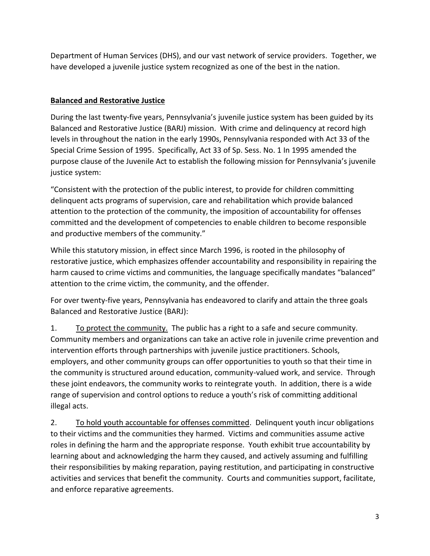Department of Human Services (DHS), and our vast network of service providers. Together, we have developed a juvenile justice system recognized as one of the best in the nation.

### **Balanced and Restorative Justice**

During the last twenty-five years, Pennsylvania's juvenile justice system has been guided by its Balanced and Restorative Justice (BARJ) mission. With crime and delinquency at record high levels in throughout the nation in the early 1990s, Pennsylvania responded with Act 33 of the Special Crime Session of 1995. Specifically, Act 33 of Sp. Sess. No. 1 In 1995 amended the purpose clause of the Juvenile Act to establish the following mission for Pennsylvania's juvenile justice system:

"Consistent with the protection of the public interest, to provide for children committing delinquent acts programs of supervision, care and rehabilitation which provide balanced attention to the protection of the community, the imposition of accountability for offenses committed and the development of competencies to enable children to become responsible and productive members of the community."

While this statutory mission, in effect since March 1996, is rooted in the philosophy of restorative justice, which emphasizes offender accountability and responsibility in repairing the harm caused to crime victims and communities, the language specifically mandates "balanced" attention to the crime victim, the community, and the offender.

For over twenty-five years, Pennsylvania has endeavored to clarify and attain the three goals Balanced and Restorative Justice (BARJ):

1. To protect the community. The public has a right to a safe and secure community. Community members and organizations can take an active role in juvenile crime prevention and intervention efforts through partnerships with juvenile justice practitioners. Schools, employers, and other community groups can offer opportunities to youth so that their time in the community is structured around education, community-valued work, and service. Through these joint endeavors, the community works to reintegrate youth. In addition, there is a wide range of supervision and control options to reduce a youth's risk of committing additional illegal acts.

2. To hold youth accountable for offenses committed. Delinquent youth incur obligations to their victims and the communities they harmed. Victims and communities assume active roles in defining the harm and the appropriate response. Youth exhibit true accountability by learning about and acknowledging the harm they caused, and actively assuming and fulfilling their responsibilities by making reparation, paying restitution, and participating in constructive activities and services that benefit the community. Courts and communities support, facilitate, and enforce reparative agreements.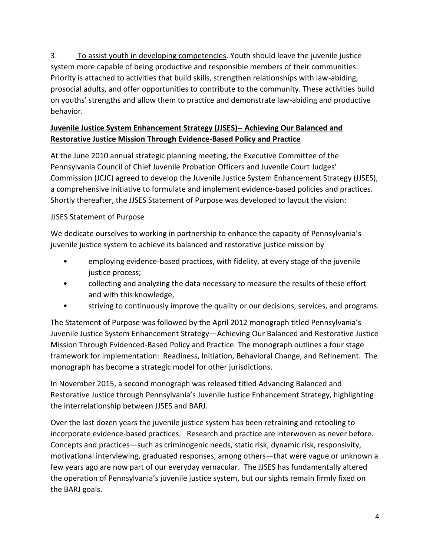3. To assist youth in developing competencies. Youth should leave the juvenile justice system more capable of being productive and responsible members of their communities. Priority is attached to activities that build skills, strengthen relationships with law-abiding, prosocial adults, and offer opportunities to contribute to the community. These activities build on youths' strengths and allow them to practice and demonstrate law-abiding and productive behavior.

## **Juvenile Justice System Enhancement Strategy (JJSES)-- Achieving Our Balanced and Restorative Justice Mission Through Evidence-Based Policy and Practice**

At the June 2010 annual strategic planning meeting, the Executive Committee of the Pennsylvania Council of Chief Juvenile Probation Officers and Juvenile Court Judges' Commission (JCJC) agreed to develop the Juvenile Justice System Enhancement Strategy (JJSES), a comprehensive initiative to formulate and implement evidence-based policies and practices. Shortly thereafter, the JJSES Statement of Purpose was developed to layout the vision:

## JJSES Statement of Purpose

We dedicate ourselves to working in partnership to enhance the capacity of Pennsylvania's juvenile justice system to achieve its balanced and restorative justice mission by

- employing evidence-based practices, with fidelity, at every stage of the juvenile justice process;
- collecting and analyzing the data necessary to measure the results of these effort and with this knowledge,
- striving to continuously improve the quality or our decisions, services, and programs.

The Statement of Purpose was followed by the April 2012 monograph titled Pennsylvania's Juvenile Justice System Enhancement Strategy—Achieving Our Balanced and Restorative Justice Mission Through Evidenced-Based Policy and Practice. The monograph outlines a four stage framework for implementation: Readiness, Initiation, Behavioral Change, and Refinement. The monograph has become a strategic model for other jurisdictions.

In November 2015, a second monograph was released titled Advancing Balanced and Restorative Justice through Pennsylvania's Juvenile Justice Enhancement Strategy, highlighting the interrelationship between JJSES and BARJ.

Over the last dozen years the juvenile justice system has been retraining and retooling to incorporate evidence-based practices. Research and practice are interwoven as never before. Concepts and practices—such as criminogenic needs, static risk, dynamic risk, responsivity, motivational interviewing, graduated responses, among others—that were vague or unknown a few years ago are now part of our everyday vernacular. The JJSES has fundamentally altered the operation of Pennsylvania's juvenile justice system, but our sights remain firmly fixed on the BARJ goals.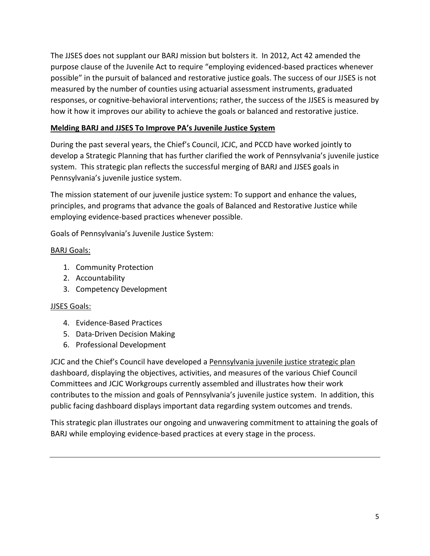The JJSES does not supplant our BARJ mission but bolsters it. In 2012, Act 42 amended the purpose clause of the Juvenile Act to require "employing evidenced-based practices whenever possible" in the pursuit of balanced and restorative justice goals. The success of our JJSES is not measured by the number of counties using actuarial assessment instruments, graduated responses, or cognitive-behavioral interventions; rather, the success of the JJSES is measured by how it how it improves our ability to achieve the goals or balanced and restorative justice.

### **Melding BARJ and JJSES To Improve PA's Juvenile Justice System**

During the past several years, the Chief's Council, JCJC, and PCCD have worked jointly to develop a Strategic Planning that has further clarified the work of Pennsylvania's juvenile justice system. This strategic plan reflects the successful merging of BARJ and JJSES goals in Pennsylvania's juvenile justice system.

The mission statement of our juvenile justice system: To support and enhance the values, principles, and programs that advance the goals of Balanced and Restorative Justice while employing evidence-based practices whenever possible.

Goals of Pennsylvania's Juvenile Justice System:

#### BARJ Goals:

- 1. Community Protection
- 2. Accountability
- 3. Competency Development

#### JJSES Goals:

- 4. Evidence-Based Practices
- 5. Data-Driven Decision Making
- 6. Professional Development

JCJC and the Chief's Council have developed a Pennsylvania juvenile justice strategic plan dashboard, displaying the objectives, activities, and measures of the various Chief Council Committees and JCJC Workgroups currently assembled and illustrates how their work contributes to the mission and goals of Pennsylvania's juvenile justice system. In addition, this public facing dashboard displays important data regarding system outcomes and trends.

This strategic plan illustrates our ongoing and unwavering commitment to attaining the goals of BARJ while employing evidence-based practices at every stage in the process.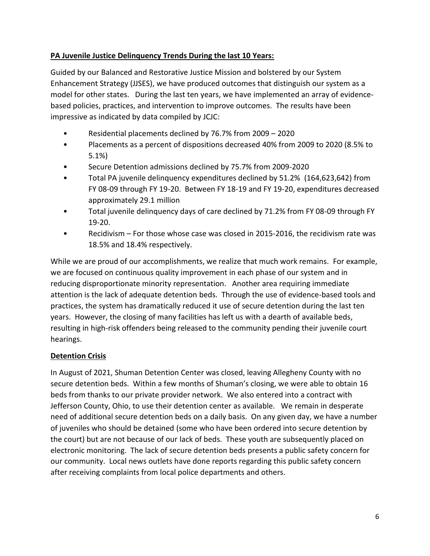### **PA Juvenile Justice Delinquency Trends During the last 10 Years:**

Guided by our Balanced and Restorative Justice Mission and bolstered by our System Enhancement Strategy (JJSES), we have produced outcomes that distinguish our system as a model for other states. During the last ten years, we have implemented an array of evidencebased policies, practices, and intervention to improve outcomes. The results have been impressive as indicated by data compiled by JCJC:

- Residential placements declined by 76.7% from 2009 2020
- Placements as a percent of dispositions decreased 40% from 2009 to 2020 (8.5% to 5.1%)
- Secure Detention admissions declined by 75.7% from 2009-2020
- Total PA juvenile delinquency expenditures declined by 51.2% (164,623,642) from FY 08-09 through FY 19-20. Between FY 18-19 and FY 19-20, expenditures decreased approximately 29.1 million
- Total juvenile delinquency days of care declined by 71.2% from FY 08-09 through FY 19-20.
- Recidivism For those whose case was closed in 2015-2016, the recidivism rate was 18.5% and 18.4% respectively.

While we are proud of our accomplishments, we realize that much work remains. For example, we are focused on continuous quality improvement in each phase of our system and in reducing disproportionate minority representation. Another area requiring immediate attention is the lack of adequate detention beds. Through the use of evidence-based tools and practices, the system has dramatically reduced it use of secure detention during the last ten years. However, the closing of many facilities has left us with a dearth of available beds, resulting in high-risk offenders being released to the community pending their juvenile court hearings.

#### **Detention Crisis**

In August of 2021, Shuman Detention Center was closed, leaving Allegheny County with no secure detention beds. Within a few months of Shuman's closing, we were able to obtain 16 beds from thanks to our private provider network. We also entered into a contract with Jefferson County, Ohio, to use their detention center as available. We remain in desperate need of additional secure detention beds on a daily basis. On any given day, we have a number of juveniles who should be detained (some who have been ordered into secure detention by the court) but are not because of our lack of beds. These youth are subsequently placed on electronic monitoring. The lack of secure detention beds presents a public safety concern for our community. Local news outlets have done reports regarding this public safety concern after receiving complaints from local police departments and others.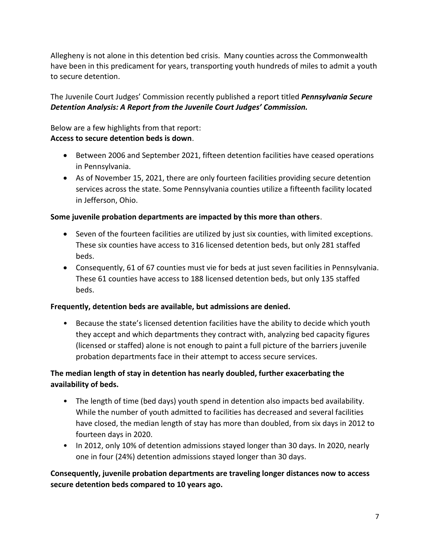Allegheny is not alone in this detention bed crisis. Many counties across the Commonwealth have been in this predicament for years, transporting youth hundreds of miles to admit a youth to secure detention.

The Juvenile Court Judges' Commission recently published a report titled *Pennsylvania Secure Detention Analysis: A Report from the Juvenile Court Judges' Commission.* 

Below are a few highlights from that report: **Access to secure detention beds is down**.

- Between 2006 and September 2021, fifteen detention facilities have ceased operations in Pennsylvania.
- As of November 15, 2021, there are only fourteen facilities providing secure detention services across the state. Some Pennsylvania counties utilize a fifteenth facility located in Jefferson, Ohio.

#### **Some juvenile probation departments are impacted by this more than others**.

- Seven of the fourteen facilities are utilized by just six counties, with limited exceptions. These six counties have access to 316 licensed detention beds, but only 281 staffed beds.
- Consequently, 61 of 67 counties must vie for beds at just seven facilities in Pennsylvania. These 61 counties have access to 188 licensed detention beds, but only 135 staffed beds.

#### **Frequently, detention beds are available, but admissions are denied.**

• Because the state's licensed detention facilities have the ability to decide which youth they accept and which departments they contract with, analyzing bed capacity figures (licensed or staffed) alone is not enough to paint a full picture of the barriers juvenile probation departments face in their attempt to access secure services.

### **The median length of stay in detention has nearly doubled, further exacerbating the availability of beds.**

- The length of time (bed days) youth spend in detention also impacts bed availability. While the number of youth admitted to facilities has decreased and several facilities have closed, the median length of stay has more than doubled, from six days in 2012 to fourteen days in 2020.
- In 2012, only 10% of detention admissions stayed longer than 30 days. In 2020, nearly one in four (24%) detention admissions stayed longer than 30 days.

## **Consequently, juvenile probation departments are traveling longer distances now to access secure detention beds compared to 10 years ago.**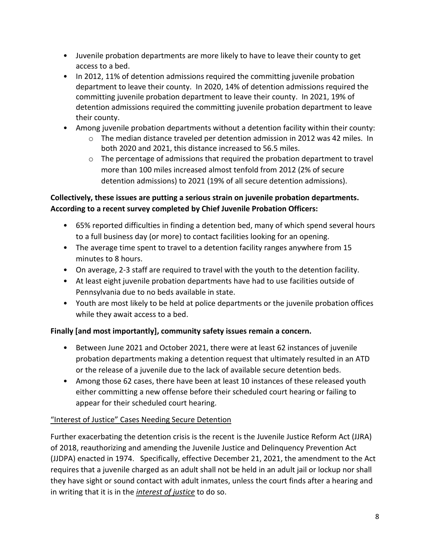- Juvenile probation departments are more likely to have to leave their county to get access to a bed.
- In 2012, 11% of detention admissions required the committing juvenile probation department to leave their county. In 2020, 14% of detention admissions required the committing juvenile probation department to leave their county. In 2021, 19% of detention admissions required the committing juvenile probation department to leave their county.
- Among juvenile probation departments without a detention facility within their county:
	- $\circ$  The median distance traveled per detention admission in 2012 was 42 miles. In both 2020 and 2021, this distance increased to 56.5 miles.
	- $\circ$  The percentage of admissions that required the probation department to travel more than 100 miles increased almost tenfold from 2012 (2% of secure detention admissions) to 2021 (19% of all secure detention admissions).

## **Collectively, these issues are putting a serious strain on juvenile probation departments. According to a recent survey completed by Chief Juvenile Probation Officers:**

- 65% reported difficulties in finding a detention bed, many of which spend several hours to a full business day (or more) to contact facilities looking for an opening.
- The average time spent to travel to a detention facility ranges anywhere from 15 minutes to 8 hours.
- On average, 2-3 staff are required to travel with the youth to the detention facility.
- At least eight juvenile probation departments have had to use facilities outside of Pennsylvania due to no beds available in state.
- Youth are most likely to be held at police departments or the juvenile probation offices while they await access to a bed.

# **Finally [and most importantly], community safety issues remain a concern.**

- Between June 2021 and October 2021, there were at least 62 instances of juvenile probation departments making a detention request that ultimately resulted in an ATD or the release of a juvenile due to the lack of available secure detention beds.
- Among those 62 cases, there have been at least 10 instances of these released youth either committing a new offense before their scheduled court hearing or failing to appear for their scheduled court hearing.

# "Interest of Justice" Cases Needing Secure Detention

Further exacerbating the detention crisis is the recent is the Juvenile Justice Reform Act (JJRA) of 2018, reauthorizing and amending the Juvenile Justice and Delinquency Prevention Act (JJDPA) enacted in 1974. Specifically, effective December 21, 2021, the amendment to the Act requires that a juvenile charged as an adult shall not be held in an adult jail or lockup nor shall they have sight or sound contact with adult inmates, unless the court finds after a hearing and in writing that it is in the *interest of justice* to do so.